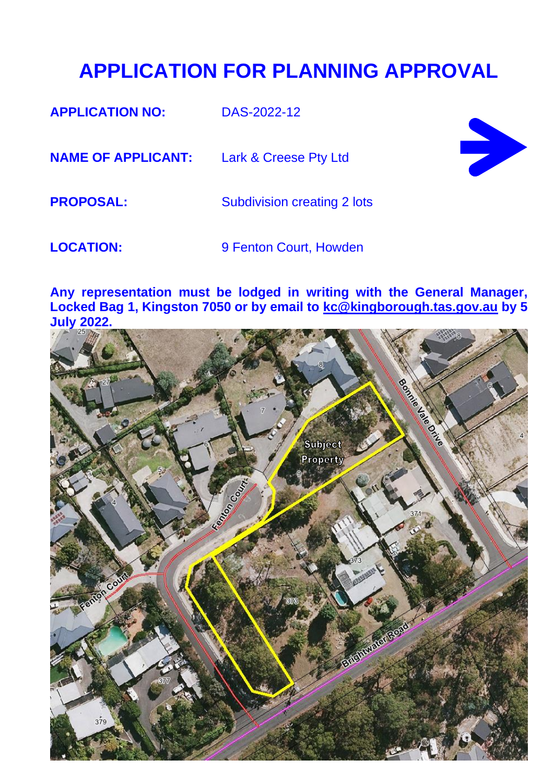### **APPLICATION FOR PLANNING APPROVAL**

**APPLICATION NO:** DAS-2022-12 **NAME OF APPLICANT:** Lark & Creese Pty Ltd **PROPOSAL:** Subdivision creating 2 lots **LOCATION:** 9 Fenton Court, Howden

**Any representation must be lodged in writing with the General Manager, Locked Bag 1, Kingston 7050 or by email to [kc@kingborough.tas.gov.au](mailto:kc@kingborough.tas.gov.au) by 5 July 2022.**

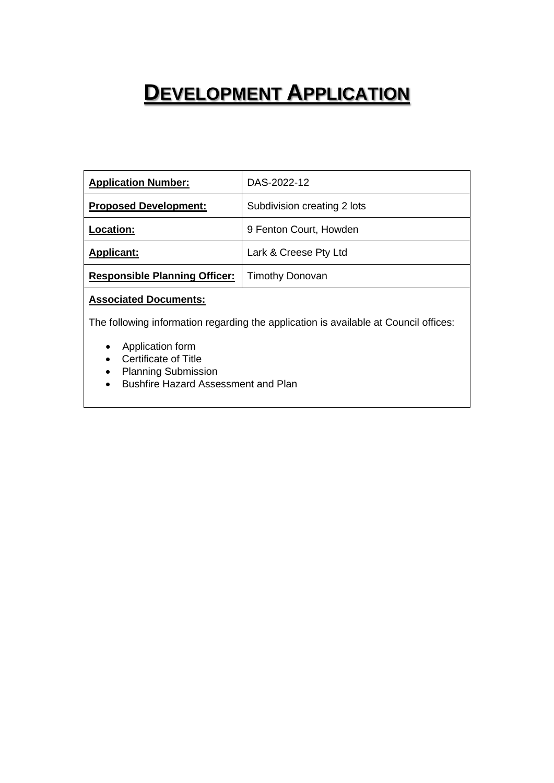## **DEVELOPMENT APPLICATION**

| <b>Application Number:</b>           | DAS-2022-12                 |
|--------------------------------------|-----------------------------|
| <b>Proposed Development:</b>         | Subdivision creating 2 lots |
| Location:                            | 9 Fenton Court, Howden      |
| <b>Applicant:</b>                    | Lark & Creese Pty Ltd       |
| <b>Responsible Planning Officer:</b> | <b>Timothy Donovan</b>      |
|                                      |                             |

#### **Associated Documents:**

The following information regarding the application is available at Council offices:

- Application form
- Certificate of Title
- Planning Submission
- Bushfire Hazard Assessment and Plan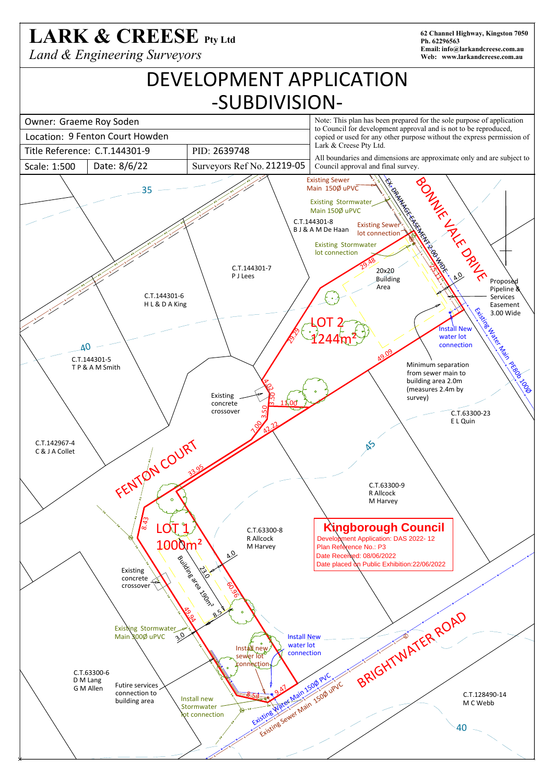# LARK & CREESE Pty Ltd

*Land & Engineering Surveyors*

**62 Channel Highway, Kingston 7050 Ph. 62296563 Email:info@larkandcreese.com.au Web: www.larkandcreese.com.au**

## DEVELOPMENT APPLICATION -SUBDIVISION-